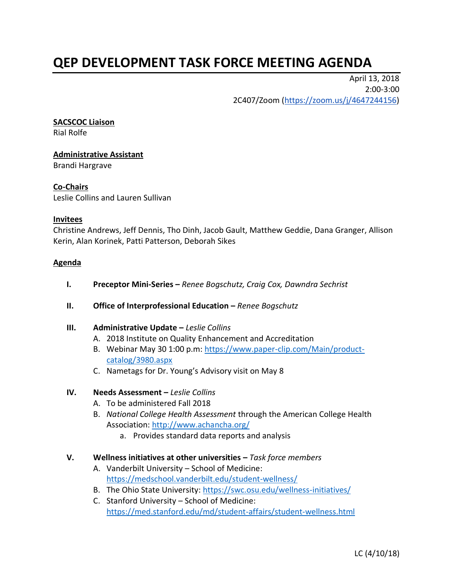# **QEP DEVELOPMENT TASK FORCE MEETING AGENDA**

April 13, 2018 2:00-3:00 2C407/Zoom [\(https://zoom.us/j/4647244156\)](https://zoom.us/j/4647244156)

#### **SACSCOC Liaison**

Rial Rolfe

# **Administrative Assistant** Brandi Hargrave

#### **Co-Chairs**

Leslie Collins and Lauren Sullivan

#### **Invitees**

Christine Andrews, Jeff Dennis, Tho Dinh, Jacob Gault, Matthew Geddie, Dana Granger, Allison Kerin, Alan Korinek, Patti Patterson, Deborah Sikes

#### **Agenda**

- **I. Preceptor Mini-Series –** *Renee Bogschutz, Craig Cox, Dawndra Sechrist*
- **II. Office of Interprofessional Education –** Renee Bogschutz

#### **III. Administrative Update –** *Leslie Collins*

- A. 2018 Institute on Quality Enhancement and Accreditation
- B. Webinar May 30 1:00 p.m: [https://www.paper-clip.com/Main/product](https://www.paper-clip.com/Main/product-catalog/3980.aspx)[catalog/3980.aspx](https://www.paper-clip.com/Main/product-catalog/3980.aspx)
- C. Nametags for Dr. Young's Advisory visit on May 8

# **IV. Needs Assessment –** *Leslie Collins*

- A. To be administered Fall 2018
- B. *National College Health Assessment* through the American College Health Association:<http://www.achancha.org/>
	- a. Provides standard data reports and analysis

#### **V. Wellness initiatives at other universities –** *Task force members*

- A. Vanderbilt University School of Medicine: <https://medschool.vanderbilt.edu/student-wellness/>
- B. The Ohio State University:<https://swc.osu.edu/wellness-initiatives/>
- C. Stanford University School of Medicine: <https://med.stanford.edu/md/student-affairs/student-wellness.html>